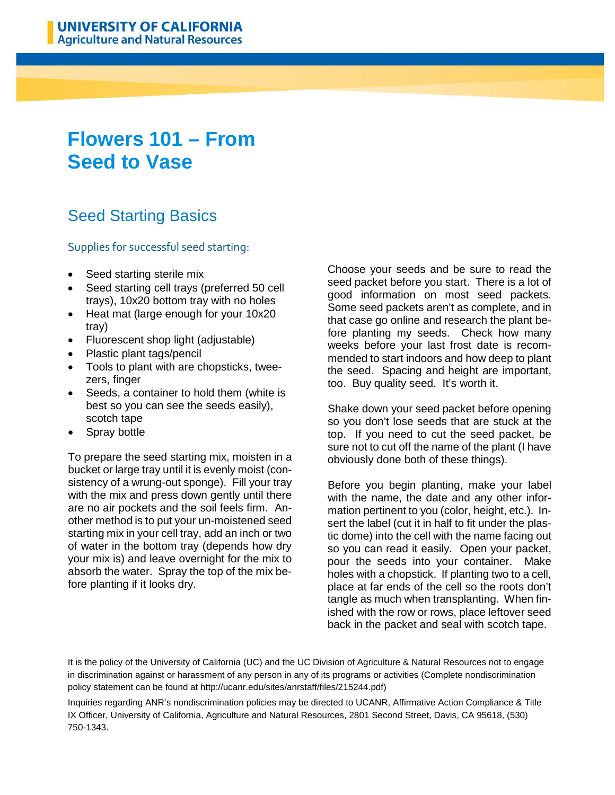## **Flowers 101 – From Seed to Vase**

## Seed Starting Basics

## Supplies for successful seed starting:

- Seed starting sterile mix
- Seed starting cell trays (preferred 50 cell trays), 10x20 bottom tray with no holes
- Heat mat (large enough for your 10x20 tray)
- Fluorescent shop light (adjustable)
- Plastic plant tags/pencil
- Tools to plant with are chopsticks, tweezers, finger
- Seeds, a container to hold them (white is best so you can see the seeds easily), scotch tape
- Spray bottle

To prepare the seed starting mix, moisten in a bucket or large tray until it is evenly moist (consistency of a wrung-out sponge). Fill your tray with the mix and press down gently until there are no air pockets and the soil feels firm. Another method is to put your un-moistened seed starting mix in your cell tray, add an inch or two of water in the bottom tray (depends how dry your mix is) and leave overnight for the mix to absorb the water. Spray the top of the mix before planting if it looks dry.

Choose your seeds and be sure to read the seed packet before you start. There is a lot of good information on most seed packets. Some seed packets aren't as complete, and in that case go online and research the plant before planting my seeds. Check how many weeks before your last frost date is recommended to start indoors and how deep to plant the seed. Spacing and height are important, too. Buy quality seed. It's worth it.

Shake down your seed packet before opening so you don't lose seeds that are stuck at the top. If you need to cut the seed packet, be sure not to cut off the name of the plant (I have obviously done both of these things).

Before you begin planting, make your label with the name, the date and any other information pertinent to you (color, height, etc.). Insert the label (cut it in half to fit under the plastic dome) into the cell with the name facing out so you can read it easily. Open your packet, pour the seeds into your container. Make holes with a chopstick. If planting two to a cell, place at far ends of the cell so the roots don't tangle as much when transplanting. When finished with the row or rows, place leftover seed back in the packet and seal with scotch tape.

It is the policy of the University of California (UC) and the UC Division of Agriculture & Natural Resources not to engage in discrimination against or harassment of any person in any of its programs or activities (Complete nondiscrimination policy statement can be found at http://ucanr.edu/sites/anrstaff/files/215244.pdf)

Inquiries regarding ANR's nondiscrimination policies may be directed to UCANR, Affirmative Action Compliance & Title IX Officer, University of California, Agriculture and Natural Resources, 2801 Second Street, Davis, CA 95618, (530) 750-1343.